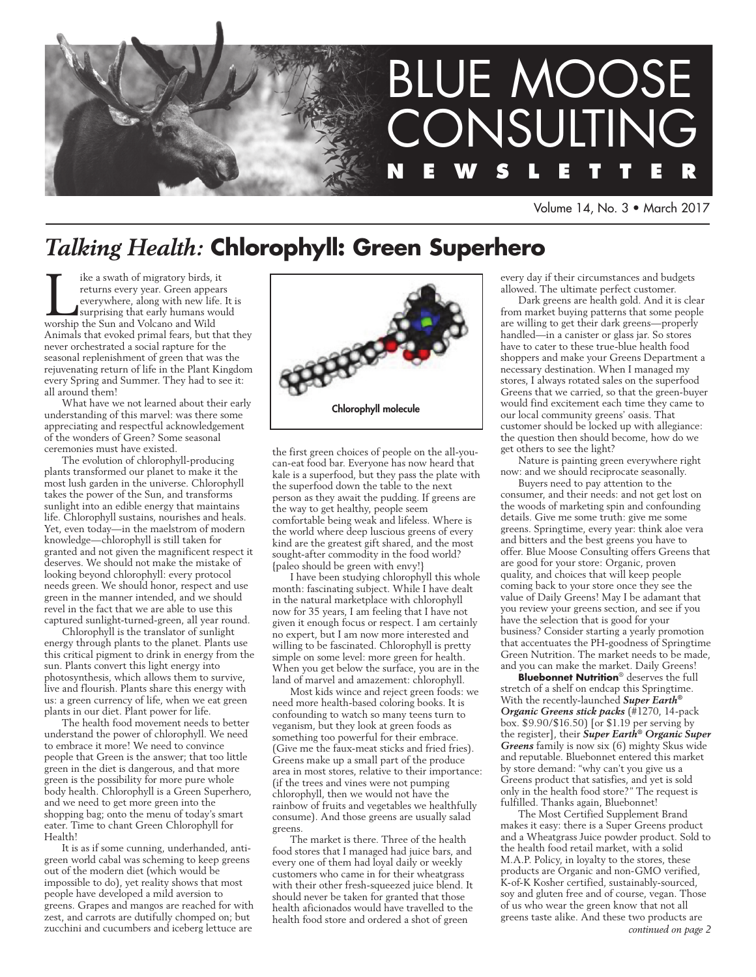

Volume 14, No. 3 • March 2017

# *Talking Health:* **Chlorophyll: Green Superhero**

Ike a swath of migratory birds, it<br>returns every year. Green appear<br>everywhere, along with new life.<br>surprising that early humans wou<br>worship the Sun and Volcano and Wild returns every year. Green appears everywhere, along with new life. It is surprising that early humans would worship the Sun and Volcano and Wild Animals that evoked primal fears, but that they never orchestrated a social rapture for the seasonal replenishment of green that was the rejuvenating return of life in the Plant Kingdom every Spring and Summer. They had to see it: all around them!

What have we not learned about their early understanding of this marvel: was there some appreciating and respectful acknowledgement of the wonders of Green? Some seasonal ceremonies must have existed.

The evolution of chlorophyll-producing plants transformed our planet to make it the most lush garden in the universe. Chlorophyll takes the power of the Sun, and transforms sunlight into an edible energy that maintains life. Chlorophyll sustains, nourishes and heals. Yet, even today—in the maelstrom of modern knowledge—chlorophyll is still taken for granted and not given the magnificent respect it deserves. We should not make the mistake of looking beyond chlorophyll: every protocol needs green. We should honor, respect and use green in the manner intended, and we should revel in the fact that we are able to use this captured sunlight-turned-green, all year round.

Chlorophyll is the translator of sunlight energy through plants to the planet. Plants use this critical pigment to drink in energy from the sun. Plants convert this light energy into photosynthesis, which allows them to survive, live and flourish. Plants share this energy with us: a green currency of life, when we eat green plants in our diet. Plant power for life.

The health food movement needs to better understand the power of chlorophyll. We need to embrace it more! We need to convince people that Green is the answer; that too little green in the diet is dangerous, and that more green is the possibility for more pure whole body health. Chlorophyll is a Green Superhero, and we need to get more green into the shopping bag; onto the menu of today's smart eater. Time to chant Green Chlorophyll for Health!

It is as if some cunning, underhanded, antigreen world cabal was scheming to keep greens out of the modern diet (which would be impossible to do), yet reality shows that most people have developed a mild aversion to greens. Grapes and mangos are reached for with zest, and carrots are dutifully chomped on; but zucchini and cucumbers and iceberg lettuce are



the first green choices of people on the all-youcan-eat food bar. Everyone has now heard that kale is a superfood, but they pass the plate with the superfood down the table to the next person as they await the pudding. If greens are the way to get healthy, people seem comfortable being weak and lifeless. Where is the world where deep luscious greens of every kind are the greatest gift shared, and the most sought-after commodity in the food world? {paleo should be green with envy!}

I have been studying chlorophyll this whole month: fascinating subject. While I have dealt in the natural marketplace with chlorophyll now for 35 years, I am feeling that I have not given it enough focus or respect. I am certainly no expert, but I am now more interested and willing to be fascinated. Chlorophyll is pretty simple on some level: more green for health. When you get below the surface, you are in the land of marvel and amazement: chlorophyll.

Most kids wince and reject green foods: we need more health-based coloring books. It is confounding to watch so many teens turn to veganism, but they look at green foods as something too powerful for their embrace. (Give me the faux-meat sticks and fried fries). Greens make up a small part of the produce area in most stores, relative to their importance: (if the trees and vines were not pumping chlorophyll, then we would not have the rainbow of fruits and vegetables we healthfully consume). And those greens are usually salad greens.

The market is there. Three of the health food stores that I managed had juice bars, and every one of them had loyal daily or weekly customers who came in for their wheatgrass with their other fresh-squeezed juice blend. It should never be taken for granted that those health aficionados would have travelled to the health food store and ordered a shot of green

every day if their circumstances and budgets allowed. The ultimate perfect customer.

Dark greens are health gold. And it is clear from market buying patterns that some people are willing to get their dark greens—properly handled—in a canister or glass jar. So stores have to cater to these true-blue health food shoppers and make your Greens Department a necessary destination. When I managed my stores, I always rotated sales on the superfood Greens that we carried, so that the green-buyer would find excitement each time they came to our local community greens' oasis. That customer should be locked up with allegiance: the question then should become, how do we get others to see the light?

Nature is painting green everywhere right now: and we should reciprocate seasonally.

Buyers need to pay attention to the consumer, and their needs: and not get lost on the woods of marketing spin and confounding details. Give me some truth: give me some greens. Springtime, every year: think aloe vera and bitters and the best greens you have to offer. Blue Moose Consulting offers Greens that are good for your store: Organic, proven quality, and choices that will keep people coming back to your store once they see the value of Daily Greens! May I be adamant that you review your greens section, and see if you have the selection that is good for your business? Consider starting a yearly promotion that accentuates the PH-goodness of Springtime Green Nutrition. The market needs to be made, and you can make the market. Daily Greens!

**Bluebonnet Nutrition**® deserves the full stretch of a shelf on endcap this Springtime. With the recently-launched *Super Earth® Organic Greens stick packs* (#1270, 14-pack box. \$9.90/\$16.50) [or \$1.19 per serving by the register], their *Super Earth® Organic Super Greens* family is now six (6) mighty Skus wide and reputable. Bluebonnet entered this market by store demand: "why can't you give us a Greens product that satisfies, and yet is sold only in the health food store?" The request is fulfilled. Thanks again, Bluebonnet!

The Most Certified Supplement Brand makes it easy: there is a Super Greens product and a Wheatgrass Juice powder product. Sold to the health food retail market, with a solid M.A.P. Policy, in loyalty to the stores, these products are Organic and non-GMO verified, K-of-K Kosher certified, sustainably-sourced, soy and gluten free and of course, vegan. Those of us who wear the green know that not all greens taste alike. And these two products are *continued on page 2*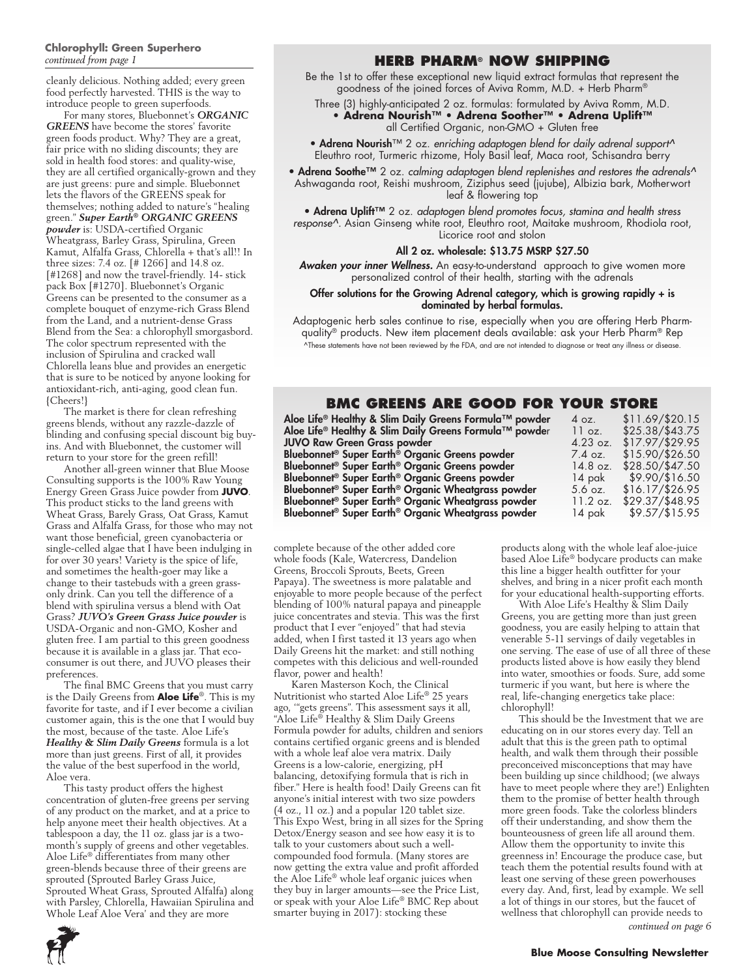#### **Chlorophyll: Green Superhero** *continued from page 1*

cleanly delicious. Nothing added; every green food perfectly harvested. THIS is the way to introduce people to green superfoods.

For many stores, Bluebonnet's *ORGANIC GREENS* have become the stores' favorite green foods product. Why? They are a great, fair price with no sliding discounts; they are sold in health food stores: and quality-wise, they are all certified organically-grown and they are just greens: pure and simple. Bluebonnet lets the flavors of the GREENS speak for themselves; nothing added to nature's "healing green." *Super Earth® ORGANIC GREENS powder* is: USDA-certified Organic Wheatgrass, Barley Grass, Spirulina, Green Kamut, Alfalfa Grass, Chlorella + that's all!! In three sizes: 7.4 oz. [# 1266] and 14.8 oz. [#1268] and now the travel-friendly. 14- stick pack Box [#1270]. Bluebonnet's Organic Greens can be presented to the consumer as a complete bouquet of enzyme-rich Grass Blend from the Land, and a nutrient-dense Grass Blend from the Sea: a chlorophyll smorgasbord. The color spectrum represented with the inclusion of Spirulina and cracked wall Chlorella leans blue and provides an energetic that is sure to be noticed by anyone looking for antioxidant-rich, anti-aging, good clean fun. {Cheers!}

The market is there for clean refreshing greens blends, without any razzle-dazzle of blinding and confusing special discount big buyins. And with Bluebonnet, the customer will return to your store for the green refill!

Another all-green winner that Blue Moose Consulting supports is the 100% Raw Young Energy Green Grass Juice powder from **JUVO**. This product sticks to the land greens with Wheat Grass, Barely Grass, Oat Grass, Kamut Grass and Alfalfa Grass, for those who may not want those beneficial, green cyanobacteria or single-celled algae that I have been indulging in for over 30 years! Variety is the spice of life, and sometimes the health-goer may like a change to their tastebuds with a green grassonly drink. Can you tell the difference of a blend with spirulina versus a blend with Oat Grass? *JUVO's Green Grass Juice powder* is USDA-Organic and non-GMO, Kosher and gluten free. I am partial to this green goodness because it is available in a glass jar. That ecoconsumer is out there, and JUVO pleases their preferences.

The final BMC Greens that you must carry is the Daily Greens from **Aloe Life**®. This is my favorite for taste, and if I ever become a civilian customer again, this is the one that I would buy the most, because of the taste. Aloe Life's *Healthy & Slim Daily Greens* formula is a lot more than just greens. First of all, it provides the value of the best superfood in the world, Aloe vera.

This tasty product offers the highest concentration of gluten-free greens per serving of any product on the market, and at a price to help anyone meet their health objectives. At a tablespoon a day, the 11 oz. glass jar is a twomonth's supply of greens and other vegetables. Aloe Life® differentiates from many other green-blends because three of their greens are sprouted (Sprouted Barley Grass Juice, Sprouted Wheat Grass, Sprouted Alfalfa) along with Parsley, Chlorella, Hawaiian Spirulina and Whole Leaf Aloe Vera' and they are more

## **Herb Pharm® now shipping**

Be the 1st to offer these exceptional new liquid extract formulas that represent the goodness of the joined forces of Aviva Romm, M.D. + Herb Pharm®

Three (3) highly-anticipated 2 oz. formulas: formulated by Aviva Romm, M.D. **• Adrena Nourish™ • Adrena Soother™ • Adrena Uplift™** all Certified Organic, non-GMO + Gluten free

• Adrena Nourish™ 2 oz. *enriching adaptogen blend for daily adrenal support^* Eleuthro root, Turmeric rhizome, Holy Basil leaf, Maca root, Schisandra berry

• Adrena Soothe™ 2 oz. *calming adaptogen blend replenishes and restores the adrenals^* Ashwaganda root, Reishi mushroom, Ziziphus seed (jujube), Albizia bark, Motherwort leaf & flowering top

• Adrena Uplift™ 2 oz. *adaptogen blend promotes focus, stamina and health stress response^.* Asian Ginseng white root, Eleuthro root, Maitake mushroom, Rhodiola root, Licorice root and stolon

#### All 2 oz. wholesale: \$13.75 MSRP \$27.50

*Awaken your inner Wellness.* An easy-to-understand approach to give women more personalized control of their health, starting with the adrenals

#### Offer solutions for the Growing Adrenal category, which is growing rapidly + is dominated by herbal formulas.

Adaptogenic herb sales continue to rise, especially when you are offering Herb Pharmquality® products. New item placement deals available: ask your Herb Pharm® Rep ^These statements have not been reviewed by the FDA, and are not intended to diagnose or treat any illness or disease.

## **BMC Greens are good for your store**

| Aloe Life® Healthy & Slim Daily Greens Formula™ powder         | 4 oz.              | $$11.69$ /\$20.15       |
|----------------------------------------------------------------|--------------------|-------------------------|
| Aloe Life® Healthy & Slim Daily Greens Formula™ powder         | 11 oz.             | $$25.38/$43.75$         |
| <b>JUVO Raw Green Grass powder</b>                             | $4.23 \text{ oz.}$ | \$17.97/ <i>\$29.95</i> |
| Bluebonnet <sup>®</sup> Super Earth® Organic Greens powder     | $7.4 \text{ oz.}$  | $$15.90/\$26.50$        |
| Bluebonnet <sup>®</sup> Super Earth® Organic Greens powder     | $14.8$ oz.         | $$28.50/$47.50$         |
| Bluebonnet <sup>®</sup> Super Earth® Organic Greens powder     | 14 pak             | \$9.90/\$16.50          |
| Bluebonnet <sup>®</sup> Super Earth® Organic Wheatgrass powder | $5.6$ oz.          | \$16.17/ <i>326.95</i>  |
| Bluebonnet <sup>®</sup> Super Earth® Organic Wheatgrass powder | $11.2$ oz.         | $$29.37/$48.95$         |
| Bluebonnet <sup>®</sup> Super Earth® Organic Wheatgrass powder | 14 pak             | $$9.57/\$15.95$         |
|                                                                |                    |                         |

complete because of the other added core whole foods (Kale, Watercress, Dandelion Greens, Broccoli Sprouts, Beets, Green Papaya). The sweetness is more palatable and enjoyable to more people because of the perfect blending of 100% natural papaya and pineapple juice concentrates and stevia. This was the first product that I ever "enjoyed" that had stevia added, when I first tasted it 13 years ago when Daily Greens hit the market: and still nothing competes with this delicious and well-rounded flavor, power and health!

Karen Masterson Koch, the Clinical Nutritionist who started Aloe Life® 25 years ago, '"gets greens". This assessment says it all, "Aloe Life® Healthy & Slim Daily Greens Formula powder for adults, children and seniors contains certified organic greens and is blended with a whole leaf aloe vera matrix. Daily Greens is a low-calorie, energizing, pH balancing, detoxifying formula that is rich in fiber." Here is health food! Daily Greens can fit anyone's initial interest with two size powders (4 oz., 11 oz.) and a popular 120 tablet size. This Expo West, bring in all sizes for the Spring Detox/Energy season and see how easy it is to talk to your customers about such a wellcompounded food formula. (Many stores are now getting the extra value and profit afforded the Aloe Life® whole leaf organic juices when they buy in larger amounts—see the Price List, or speak with your Aloe Life® BMC Rep about smarter buying in 2017): stocking these

products along with the whole leaf aloe-juice based Aloe Life® bodycare products can make this line a bigger health outfitter for your shelves, and bring in a nicer profit each month for your educational health-supporting efforts.

With Aloe Life's Healthy & Slim Daily Greens, you are getting more than just green goodness, you are easily helping to attain that venerable 5-11 servings of daily vegetables in one serving. The ease of use of all three of these products listed above is how easily they blend into water, smoothies or foods. Sure, add some turmeric if you want, but here is where the real, life-changing energetics take place: chlorophyll!

This should be the Investment that we are educating on in our stores every day. Tell an adult that this is the green path to optimal health, and walk them through their possible preconceived misconceptions that may have been building up since childhood; (we always have to meet people where they are!) Enlighten them to the promise of better health through more green foods. Take the colorless blinders off their understanding, and show them the bounteousness of green life all around them. Allow them the opportunity to invite this greenness in! Encourage the produce case, but teach them the potential results found with at least one serving of these green powerhouses every day. And, first, lead by example. We sell a lot of things in our stores, but the faucet of wellness that chlorophyll can provide needs to



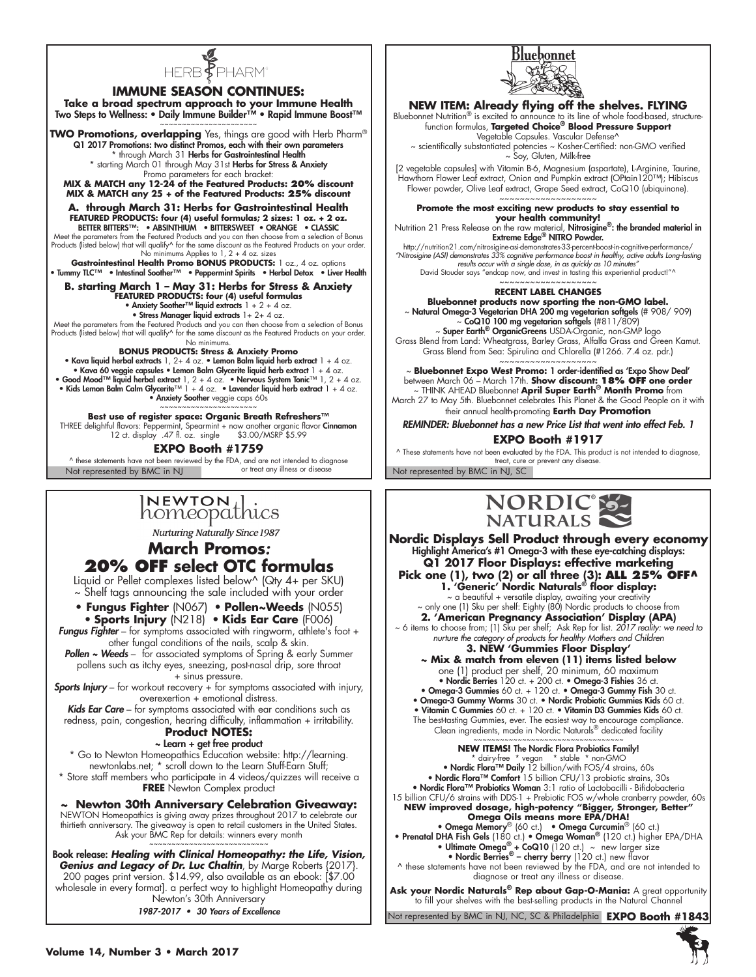

#### **IMMUNE SEASON CONTINUES:**

**Take a broad spectrum approach to your Immune Health** Two Steps to Wellness: • Daily Immune Builder™ • Rapid Immune Boost™

~~~~~~~~~~~~~~~~~~~~~~ **TWO Promotions, overlapping** Yes, things are good with Herb Pharm® Q1 2017 Promotions: two distinct Promos, each with their own parameters \* through March 31 Herbs for Gastrointestinal Health \* starting March 01 through May 31st Herbs for Stress & Anxiety Promo parameters for each bracket:

**MIX & MATCH any 12-24 of the Featured Products: 20% discount MIX & MATCH any 25 + of the Featured Products: 25% discount**

**A. through March 31: Herbs for Gastrointestinal Health FEATURED PRODUCTS: four (4) useful formulas; 2 sizes: 1 oz. + 2 oz.** Better Bitters™: • ABSINTHIUM • BITTERSWEET • ORANGE • CLASSIC

Meet the parameters from the Featured Products and you can then choose from a selection of Bonus<br>Products (listed below) that will qualify^ for the same discount as the Featured Products on your order.<br>No minimums Applies

**Gastrointestinal Health Promo BONUS PRODUCTS:** 1 oz., 4 oz. options • Tummy TLC™ • Intestinal Soother™ • Peppermint Spirits • Herbal Detox • Liver Health

**B. starting March 1 – May 31: Herbs for Stress & Anxiety**<br>FEATURED PRODUCTS: four (4) useful formulas<br>• Anxiety Soother™ liquid extracts 1 + 2 + 4 oz.

• Stress Manager liquid extracts 1+ 2+ 4 oz.

Meet the parameters from the Featured Products and you can then choose from a selection of Bonus Products (listed below) that will qualify^ for the same discount as the Featured Products on your order. No minimums.

#### **BONUS PRODUCTS: Stress & Anxiety Promo**

• Kava liquid herbal extracts 1, 2+ 4 oz. • Lemon Balm liquid herb extract 1 + 4 oz.<br>• Kava 60 veggie capsules • Lemon Balm Glycerite liquid herb extract 1 + 4 oz.<br>• Good Mood<sup>TM</sup> liquid herbal extract 1, 2 + 4 oz. • Nerv

**Best use of register space: Organic Breath Refreshers™** THREE delightful flavors: Peppermint, Spearmint + now another organic flavor **Cinnamon**<br>12 ct. display .47 fl. oz. single \$3.00/MSRP \$5.99

**EXPO Booth #1759**

A these statements have not been reviewed by the FDA, and are not intended to diagnose<br>Not represented by BMC in NJ, SC or treat any illness or disease Not represented by BMC in NJ, SC

# INEWTON thics

**Nurturing Naturally Since 1987** 

## **March Promos***:*  **20% OFF select OTC formulas**

Liquid or Pellet complexes listed below^ (Qty 4+ per SKU) ~ Shelf tags announcing the sale included with your order

**• Fungus Fighter** (N067) • **Pollen~Weeds** (N055) • **Sports Injury** (N218) • **Kids Ear Care** (F006) **Fungus Fighter** – for symptoms associated with ringworm, athlete's foot + other fungal conditions of the nails, scalp & skin.

**Pollen ~ Weeds** – for associated symptoms of Spring & early Summer pollens such as itchy eyes, sneezing, post-nasal drip, sore throat + sinus pressure.

**Sports Injury** – for workout recovery + for symptoms associated with injury, overexertion + emotional distress.

Kids **Ear Care** – for symptoms associated with ear conditions such as redness, pain, congestion, hearing difficulty, inflammation + irritability.

#### **Product NOTES:** ~ Learn + get free product

\* Go to Newton Homeopathics Education website: http://learning. newtonlabs.net; \* scroll down to the Learn Stuff-Earn Stuff; \* Store staff members who participate in 4 videos/quizzes will receive a **FREE** Newton Complex product

**~ Newton 30th Anniversary Celebration Giveaway:** NEWTON Homeopathics is giving away prizes throughout 2017 to celebrate our thirtieth anniversary. The giveaway is open to retail customers in the United States. Ask your BMC Rep for details: winners every month ~~~~~~~~~~~~~~~~~~~~~~~~~~~

Book release: *Healing with Clinical Homeopathy: the Life, Vision, Genius and Legacy of Dr. Luc Chaltin*, by Marge Roberts {2017}. 200 pages print version. \$14.99, also available as an ebook: [\$7.00

wholesale in every format]. a perfect way to highlight Homeopathy during Newton's 30th Anniversary

1987-2017 • 30 Years of Excellence



# **NEW ITEM: Already flying off the shelves. FLYING**<br>Bluebonnet Nutrition® is excited to announce to its line of whole food-based, structure-

function formulas, **Targeted Choice® Blood Pressure Support**  Vegetable Capsules. Vascular Defense^

~ scientifically substantiated potencies ~ Kosher-Certified: non-GMO verified ~ Soy, Gluten, Milk-free

[2 vegetable capsules] with Vitamin B-6, Magnesium (aspartate), L-Arginine, Taurine, Hawthorn Flower Leaf extract, Onion and Pumpkin extract (OPtain120™); Hibiscus Flower powder, Olive Leaf extract, Grape Seed extract, CoQ10 (ubiquinone). ~~~~~~~~~~~~~~~~~~~

**Promote the most exciting new products to stay essential to your health community!**

Nutrition 21 Press Release on the raw material, **Nitrosigine®: the branded material in**<br>Ext**reme Edge® NITRO Powder.** 

http://nutrition21.com/nitrosigine-asi-demonstrates-33-percent-boost-in-cognitive-performance/ *"Nitrosigine (ASI) demonstrates 33% cognitive performance boost in healthy, active adults Long-lasting results occur with a single dose, in as quickly as 10 minutes"* David Stouder says "endcap now, and invest in tasting this experiential product!"^

#### ~~~~~~~~~~~~~~~~~~~ **Recent label changes**

**Bluebonnet products now sporting the non-GMO label.** ~ Natural Omega-3 Vegetarian DHA 200 mg vegetarian softgels (# 908/ 909)  $\sim$  CoQ10 100 mg vegetarian softgels (#811/809) Super Earth<sup>®</sup> OrganicGreens USDA-Organic, non-GMP logo

Grass Blend from Land: Wheatgrass, Barley Grass, Alfalfa Grass and Green Kamut. Grass Blend from Sea: Spirulina and Chlorella (#1266. 7.4 oz. pdr.)

~~~~~~~~~~~~~~~~~~~ ~ **Bluebonnet Expo West Promo:** 1 order-identified as 'Expo Show Deal'

between March 06 – March 17th. **Show discount: 18% OFF one order**<br>THINK AHEAD Bluebonnet **April Super Earth® Month Promo** from ~<br>March 27 to May 5th. Bluebonnet celebrates This Planet & the Good People on it with

their annual health-promoting **Earth Day Promotion** REMINDER: Bluebonnet has a new Price List that went into effect Feb. 1

**EXPO Booth #1917**

^ These statements have not been evaluated by the FDA. This product is not intended to diagnose, treat, cure or prevent any disease.



**Nordic Displays Sell Product through every economy** Highlight America's #1 Omega-3 with these eye-catching displays: **Q1 2017 Floor Displays: effective marketing Pick one (1), two (2) or all three (3): ALL 25% OFF^ 1. 'Generic' Nordic Naturals® floor display:** ~ a beautiful + versatile display, awaiting your creativity ~ only one (1) Sku per shelf: Eighty (80) Nordic products to choose from **2. 'American Pregnancy Association' Display (APA)** ~ 6 items to choose from; (1) Sku per shelf; Ask Rep for list. *2017 reality: we need to nurture the category of products for healthy Mothers and Children* **3. NEW 'Gummies Floor Display' ~ Mix & match from eleven (11) items listed below** one (1) product per shelf, 20 minimum, 60 maximum<br>• **Nordic Berries** 120 ct. + 200 ct. • **Omega-3 Fishies** 36 ct. • Omega-3 Gummies 60 ct. + 120 ct. • Omega-3 Gummy Fish 30 ct. • Omega-3 Gummy Worms 30 ct. • Nordic Probiotic Gummies Kids 60 ct. • Vitamin C Gummies 60 ct. + 120 ct. • Vitamin D3 Gummies Kids 60 ct. The best-tasting Gummies, ever. The easiest way to encourage compliance. Clean ingredients, made in Nordic Naturals® dedicated facility ~~~~~~~~~~~~~~~~~~~~~~~~~~~~~~~~ **NEW ITEMS!** The Nordic Flora Probiotics Family! \* dairy-free \* vegan \* stable \* non-GMO • Nordic Flora™ Daily 12 billion/with FOS/4 strains, 60s • Nordic Flora™ Comfort 15 billion CFU/13 probiotic strains, 30s • Nordic Flora™ Probiotics Woman 3:1 ratio of Lactobacilli - Bifidobacteria 15 billion CFU/6 strains with DDS-1 + Prebiotic FOS w/whole cranberry powder, 60s **NEW improved dosage, high-potency "Bigger, Stronger, Better" Omega Oils means more EPA/DHA!**

• Omega Memory® (60 ct.) • Omega Curcumin® (60 ct.) • Prenatal DHA Fish Gels (180 ct.) • Omega Woman® (120 ct.) higher EPA/DHA • Ultimate Omega<sup>®</sup> + CoQ10 (120 ct.)  $\sim$  new larger size • Nordic Berries<sup>®</sup> – cherry berry (120 ct.) new flavor

^ these statements have not been reviewed by the FDA, and are not intended to diagnose or treat any illness or disease.

**Ask your Nordic Naturals® Rep about Gap-O-Mania:** A great opportunity to fill your shelves with the best-selling products in the Natural Channel

Not represented by BMC in NJ, NC, SC & Philadelphia  **EXPO Booth #1843**

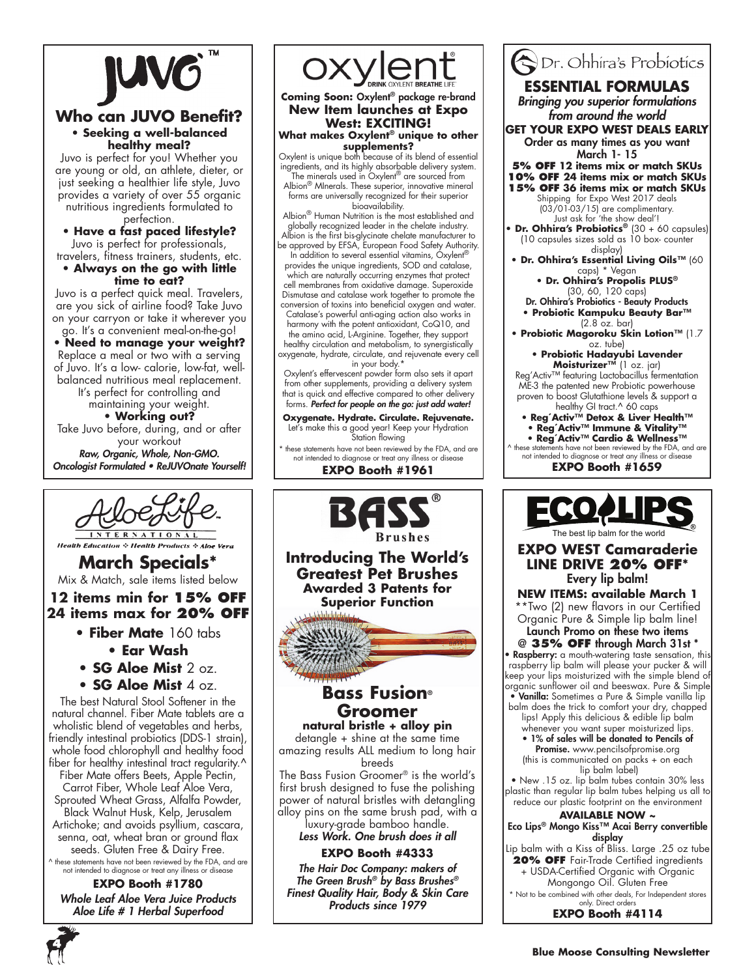

### **Who can JUVO Benefit? • Seeking a well-balanced healthy meal?**

Juvo is perfect for you! Whether you are young or old, an athlete, dieter, or just seeking a healthier life style, Juvo provides a variety of over 55 organic nutritious ingredients formulated to perfection.

**• Have a fast paced lifestyle?** Juvo is perfect for professionals, travelers, fitness trainers, students, etc.

**• Always on the go with little time to eat?**

Juvo is a perfect quick meal. Travelers, are you sick of airline food? Take Juvo on your carryon or take it wherever you go. It's a convenient meal-on-the-go!

**• Need to manage your weight?** Replace a meal or two with a serving of Juvo. It's a low- calorie, low-fat, wellbalanced nutritious meal replacement. It's perfect for controlling and

maintaining your weight. **• Working out?** Take Juvo before, during, and or after your workout Raw, Organic, Whole, Non-GMO. Oncologist Formulated • ReJUVOnate Yourself!



**Health Education & Health Products & Al-**

**March Specials\*** Mix & Match, sale items listed below

# **12 items min for 15% off 24 items max for 20% off**

- **Fiber Mate** 160 tabs **• Ear Wash**
- **SG Aloe Mist** 2 oz.
- **SG Aloe Mist** 4 oz.

The best Natural Stool Softener in the natural channel. Fiber Mate tablets are a wholistic blend of vegetables and herbs, friendly intestinal probiotics (DDS-1 strain), whole food chlorophyll and healthy food fiber for healthy intestinal tract regularity.^

Fiber Mate offers Beets, Apple Pectin, Carrot Fiber, Whole Leaf Aloe Vera, Sprouted Wheat Grass, Alfalfa Powder, Black Walnut Husk, Kelp, Jerusalem Artichoke; and avoids psyllium, cascara, senna, oat, wheat bran or ground flax

seeds. Gluten Free & Dairy Free. ^ these statements have not been reviewed by the FDA, and are not intended to diagnose or treat any illness or disease

**EXPO Booth #1780** Whole Leaf Aloe Vera Juice Products Aloe Life # 1 Herbal Superfood



#### **Coming Soon:** Oxylent® package re-brand **New Item launches at Expo West: EXCITING! What makes Oxylent® unique to other**

**supplements?** Oxylent is unique both because of its blend of essential ingredients, and its highly absorbable delivery system.

The minerals used in Oxylent® are sourced from Albion® MInerals. These superior, innovative mineral forms are universally recognized for their superior bioavailability.

Albion® Human Nutrition is the most established and<br>globally recognized leader in the chelate industry. Albion is the first bis-glycinate chelate manufacturer to

be approved by EFSA, European Food Safety Authority. In addition to several essential vitamins, Oxylent®

provides the unique ingredients, SOD and catalase, which are naturally occurring enzymes that protect cell membranes from oxidative damage. Superoxide Dismutase and catalase work together to promote the conversion of toxins into beneficial oxygen and water. Catalase's powerful anti-aging action also works in

harmony with the potent antioxidant, CoQ10, and the amino acid, L-Arginine. Together, they support healthy circulation and metabolism, to synergistically

oxygenate, hydrate, circulate, and rejuvenate every cell in your body.\*

Oxylent's effervescent powder form also sets it apart from other supplements, providing a delivery system that is quick and effective compared to other delivery forms. Perfect for people on the go: just add water!

**Oxygenate. Hydrate. Circulate. Rejuvenate.** Let's make this a good year! Keep your Hydration Station flowing

these statements have not been reviewed by the FDA, and are not intended to diagnose or treat any illness or disease **EXPO Booth #1961**



Dr. Ohhira's Probiotics **ESSENTIAL FORMULAS** Bringing you superior formulations from around the world **GET YOUR EXPO WEST DEALS EARLY** Order as many times as you want March 1- 15 **5% off 12 items mix or match SKUs 10% off 24 items mix or match SKUs 15% off 36 items mix or match SKUs** Shipping for Expo West 2017 deals (03/01-03/15) are complimentary. Just ask for 'the show deal'! **• Dr. Ohhira's Probiotics®** (30 + 60 capsules) (10 capsules sizes sold as 10 box- counter display) **• Dr. Ohhira's Essential Living Oils™** (60 caps) \* Vegan **• Dr. Ohhira's Propolis PLUS®** (30, 60, 120 caps) Dr. Ohhira's Probiotics - Beauty Products **• Probiotic Kampuku Beauty Bar™** (2.8 oz. bar) **• Probiotic Magoroku Skin Lotion™** (1.7 oz. tube) **• Probiotic Hadayubi Lavender Moisturizer™** (1 oz. jar) Reg'Activ™ featuring Lactobacillus fermentation ME-3 the patented new Probiotic powerhouse proven to boost Glutathione levels & support a healthy GI tract.<sup>^</sup> 60 caps **• Reg´Activ™ Detox & Liver Health™ • Reg´Activ™ Immune & Vitality™ • Reg´Activ™ Cardio & Wellness™** ^ these statements have not been reviewed by the FDA, and are not intended to diagnose or treat any illness or disease **EXPO Booth #1659** best lip balm for the worl **EXPO WEST Camaraderie LINE DRIVE 20% OFF\*** Every lip balm! **NEW ITEMS: available March 1** \*\*Two (2) new flavors in our Certified Organic Pure & Simple lip balm line! Launch Promo on these two items @ **35% OFF** through March 31st \* **Raspberry:** a mouth-watering taste sensation, this raspberry lip balm will please your pucker & will keep your lips moisturized with the simple blend of organic sunflower oil and beeswax. Pure & Simple • Vanilla: Sometimes a Pure & Simple vanilla lip balm does the trick to comfort your dry, chapped lips! Apply this delicious & edible lip balm whenever you want super moisturized lips. • 1% of sales will be donated to Pencils of Promise. www.pencilsofpromise.org (this is communicated on packs + on each lip balm label) • New .15 oz. lip balm tubes contain 30% less plastic than regular lip balm tubes helping us all to reduce our plastic footprint on the environment **available now ~** Eco Lips® Mongo Kiss™ Acai Berry convertible display Lip balm with a Kiss of Bliss. Large .25 oz tube **20% OFF** Fair-Trade Certified ingredients + USDA-Certified Organic with Organic Mongongo Oil. Gluten Free \* Not to be combined with other deals, For Independent stores only. Direct orders **EXPO Booth #4114**

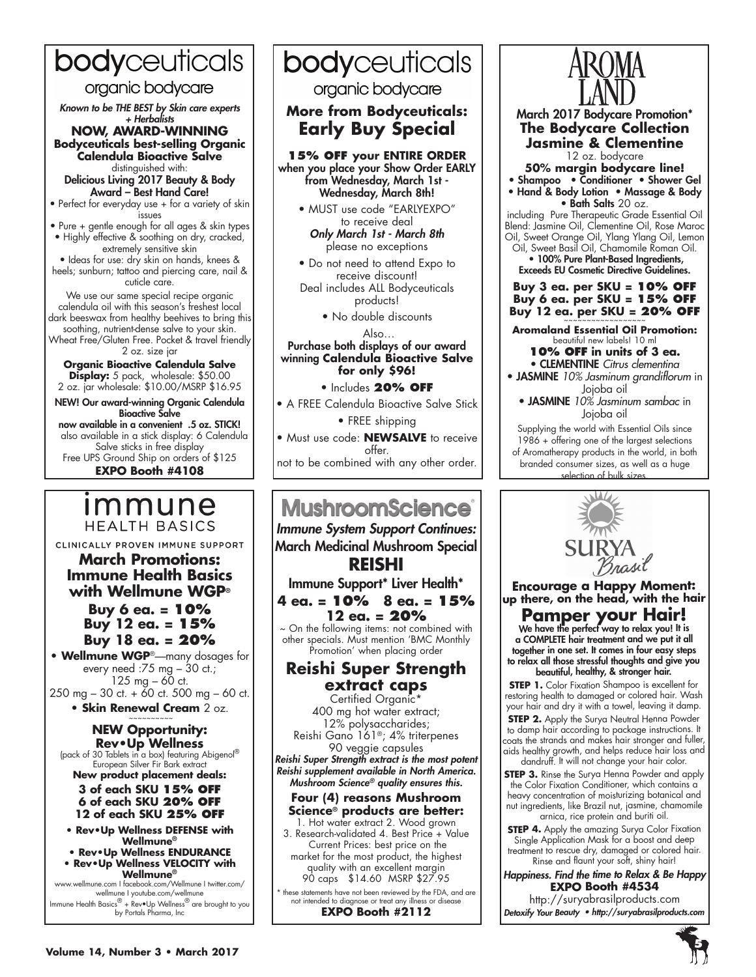# bodyceuticals

# organic bodycare

Known to be THE BEST by Skin care experts + Herbalists

#### **NOW, AWARD-WINNING Bodyceuticals best-selling Organic Calendula Bioactive Salve**  distinguished with:

Delicious Living 2017 Beauty & Body Award – Best Hand Care!

• Perfect for everyday use + for a variety of skin .<br>issues

• Pure + gentle enough for all ages & skin types • Highly effective & soothing on dry, cracked, extremely sensitive skin

• Ideas for use: dry skin on hands, knees & heels; sunburn; tattoo and piercing care, nail & cuticle care.

We use our same special recipe organic calendula oil with this season's freshest local dark beeswax from healthy beehives to bring this soothing, nutrient-dense salve to your skin. Wheat Free/Gluten Free. Pocket & travel friendly 2 oz. size jar

**Organic Bioactive Calendula Salve Display:** 5 pack, wholesale: \$50.00 2 oz. jar wholesale: \$10.00/MSRP \$16.95

NEW! Our award-winning Organic Calendula Bioactive Salve now available in a convenient .5 oz. STICK! also available in a stick display: 6 Calendula Salve sticks in free display Free UPS Ground Ship on orders of \$125 **EXPO Booth #4108**

# <u>Immune</u> **HEALTH BASICS**

CLINICALLY PROVEN IMMUNE SUPPORT

**March Promotions: Immune Health Basics with Wellmune WGP®**

> **Buy 6 ea. = 10% Buy 12 ea. = 15% Buy 18 ea. = 20%**

**• Wellmune WGP**®—many dosages for every need :75 mg – 30 ct.; 125 mg  $-60$  ct. 250 mg – 30 ct. + 60 ct. 500 mg – 60 ct.

**• Skin Renewal Cream** 2 oz.

# **NEW Opportunity:**

(pack of 30 Tablets in a box) featuring Abigenol<sup>®</sup> European Silver Fir Bark extract **New product placement deals:**

**3 of each SKU 15% OFF 6 of each SKU 20% OFF 12 of each SKU 25% OFF**

**• Rev•Up Wellness DEFENSE with Wellmune®**

- **Rev•Up Wellness ENDURANCE • Rev•Up Wellness VELOCITY with**
- **Wellmune®**

www.wellmune.com I facebook.com/Wellmune I twitter.com/ wellmune I youtube.com/wellmune Immune Health Basics® + Rev•Up Wellness® are brought to you by Portals Pharma, Inc

# bodyceuticals

# organic bodycare

**More from Bodyceuticals: Early Buy Special**



- MUST use code "EARLYEXPO" to receive deal Only March 1st - March 8th please no exceptions
- Do not need to attend Expo to receive discount! Deal includes ALL Bodyceuticals products!

• No double discounts

#### Also… Purchase both displays of our award winning **Calendula Bioactive Salve for only \$96!**

• Includes **20% off**

• A FREE Calendula Bioactive Salve Stick

• FREE shipping

• Must use code: **NEWSALVE** to receive offer.

not to be combined with any other order.

# **MushroomScience**

Immune System Support Continues: March Medicinal Mushroom Special **REISHI**

Immune Support\* Liver Health\*

**4 ea. = 10% 8 ea. = 15% 12 ea. = 20%** ~ On the following items: not combined with

other specials. Must mention 'BMC Monthly Promotion' when placing order

## **Reishi Super Strength extract caps**

Certified Organic\* 400 mg hot water extract; 12% polysaccharides; Reishi Gano 161®; 4% triterpenes

90 veggie capsules Reishi Super Strength extract is the most potent Reishi supplement available in North America. Mushroom Science*® quality ensures this.*

## **Four (4) reasons Mushroom Science® products are better:**

1. Hot water extract 2. Wood grown 3. Research-validated 4. Best Price + Value Current Prices: best price on the market for the most product, the highest quality with an excellent margin 90 caps \$14.60 MSRP \$27.95

\* these statements have not been reviewed by the FDA, and are not intended to diagnose or treat any illness or disease **EXPO Booth #2112**



March 2017 Bodycare Promotion\* **The Bodycare Collection Jasmine & Clementine** 12 oz. bodycare **50% margin bodycare line!** • Shampoo • Conditioner • Shower Gel • Hand & Body Lotion • Massage & Body • Bath Salts 20 oz. including Pure Therapeutic Grade Essential Oil Blend: Jasmine Oil, Clementine Oil, Rose Maroc Oil, Sweet Orange Oil, Ylang Ylang Oil, Lemon

Oil, Sweet Basil Oil, Chamomile Roman Oil. • 100% Pure Plant-Based Ingredients, Exceeds EU Cosmetic Directive Guidelines.

**Buy 3 ea. per SKU = 10% OFF Buy 6 ea. per SKU = 15% O Buy 12 ea. per SKU = 20% O** 

**Aromaland Essential Oil Promotion:** beautiful new labels! 10 ml **10% OFF in units of 3 ea.**

• CLEMENTINE *Citrus clementina* • JASMINE *10% Jasminum grandiflorum* in Jojoba oil

• JASMINE *10% Jasminum sambac* in Jojoba oil

Supplying the world with Essential Oils since 1986 + offering one of the largest selections of Aromatherapy products in the world, in both branded consumer sizes, as well as a huge selection of bulk size



**Encourage a Happy Moment: up there, on the head, with the hair**

**Pamper your Hair!**<br>We have the perfect way to relax you! It is a COMPLETE hair treatment and we put it all together in one set. It comes in four easy steps to relax all those stressful thoughts and give you

beautiful, healthy, & stronger hair.

**STEP 1.** Color Fixation Shampoo is excellent for restoring health to damaged or colored hair. Wash your hair and dry it with a towel, leaving it damp.

**STEP 2.** Apply the Surya Neutral Henna Powder to damp hair according to package instructions. It coats the strands and makes hair stronger and fuller, aids healthy growth, and helps reduce hair loss and dandruff. It will not change your hair color.

**STEP 3.** Rinse the Surya Henna Powder and apply the Color Fixation Conditioner, which contains a heavy concentration of moisturizing botanical and nut ingredients, like Brazil nut, jasmine, chamomile arnica, rice protein and buriti oil.

**STEP 4.** Apply the amazing Surya Color Fixation Single Application Mask for a boost and deep treatment to rescue dry, damaged or colored hair. Rinse and flaunt your soft, shiny hair!

Happiness. Find the time to Relax & Be Happy **EXPO Booth #4534**

http://suryabrasilproducts.com Detoxify Your Beauty • http://suryabrasilproducts.com

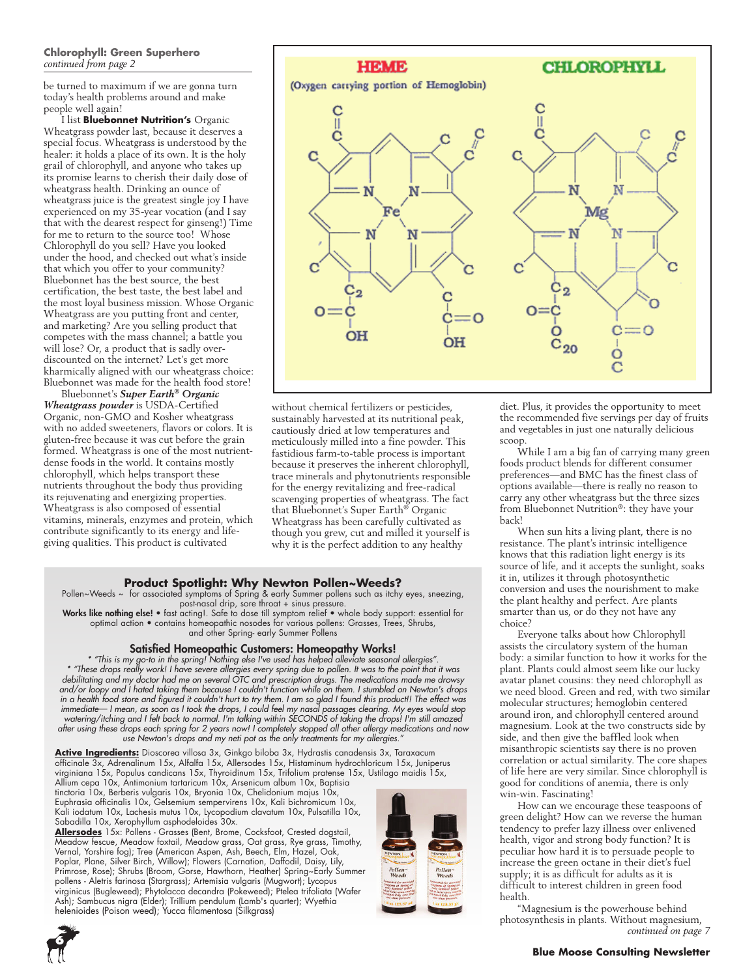#### **Chlorophyll: Green Superhero** *continued from page 2*

be turned to maximum if we are gonna turn today's health problems around and make people well again!

I list **Bluebonnet Nutrition's** Organic Wheatgrass powder last, because it deserves a special focus. Wheatgrass is understood by the healer: it holds a place of its own. It is the holy grail of chlorophyll, and anyone who takes up its promise learns to cherish their daily dose of wheatgrass health. Drinking an ounce of wheatgrass juice is the greatest single joy I have experienced on my 35-year vocation (and I say that with the dearest respect for ginseng!) Time for me to return to the source too! Whose Chlorophyll do you sell? Have you looked under the hood, and checked out what's inside that which you offer to your community? Bluebonnet has the best source, the best certification, the best taste, the best label and the most loyal business mission. Whose Organic Wheatgrass are you putting front and center, and marketing? Are you selling product that competes with the mass channel; a battle you will lose? Or, a product that is sadly overdiscounted on the internet? Let's get more kharmically aligned with our wheatgrass choice: Bluebonnet was made for the health food store!

Bluebonnet's *Super Earth® Organic Wheatgrass powder* is USDA-Certified Organic, non-GMO and Kosher wheatgrass with no added sweeteners, flavors or colors. It is gluten-free because it was cut before the grain formed. Wheatgrass is one of the most nutrientdense foods in the world. It contains mostly chlorophyll, which helps transport these nutrients throughout the body thus providing its rejuvenating and energizing properties. Wheatgrass is also composed of essential vitamins, minerals, enzymes and protein, which contribute significantly to its energy and lifegiving qualities. This product is cultivated



without chemical fertilizers or pesticides, sustainably harvested at its nutritional peak, cautiously dried at low temperatures and meticulously milled into a fine powder. This fastidious farm-to-table process is important because it preserves the inherent chlorophyll, trace minerals and phytonutrients responsible for the energy revitalizing and free-radical scavenging properties of wheatgrass. The fact that Bluebonnet's Super Earth® Organic Wheatgrass has been carefully cultivated as though you grew, cut and milled it yourself is why it is the perfect addition to any healthy

#### **Product Spotlight: Why Newton Pollen~Weeds?**

Pollen~Weeds ~ for associated symptoms of Spring & early Summer pollens such as itchy eyes, sneezing,

post-nasal drip, sore throat + sinus pressure.<br>Works like nothing else! • fast acting!. Safe to dose till symptom relief • whole body support: essential for optimal action • contains homeopathic nosodes for various pollens: Grasses, Trees, Shrubs, and other Spring- early Summer Pollens

#### Satisfied Homeopathic Customers: Homeopathy Works!

*\* "This is my go-to in the spring! Nothing else I've used has helped alleviate seasonal allergies". \* "These drops really work! I have severe allergies every spring due to pollen. It was to the point that it was debilitating and my doctor had me on several OTC and prescription drugs. The medications made me drowsy and/or loopy and I hated taking them because I couldn't function while on them. I stumbled on Newton's drops in a health food store and figured it couldn't hurt to try them. I am so glad I found this product!! The effect was immediate— I mean, as soon as I took the drops, I could feel my nasal passages clearing. My eyes would stop watering/itching and I felt back to normal. I'm talking within SECONDS of taking the drops! I'm still amazed after using these drops each spring for 2 years now! I completely stopped all other allergy medications and now use Newton's drops and my neti pot as the only treatments for my allergies."*

**Active Ingredients:** Dioscorea villosa 3x, Ginkgo biloba 3x, Hydrastis canadensis 3x, Taraxacum officinale 3x, Adrenalinum 15x, Alfalfa 15x, Allersodes 15x, Histaminum hydrochloricum 15x, Juniperus virginiana 15x, Populus candicans 15x, Thyroidinum 15x, Trifolium pratense 15x, Ustilago maidis 15x, Allium cepa 10x, Antimonium tartaricum 10x, Arsenicum album 10x, Baptisia

tinctoria 10x, Berberis vulgaris 10x, Bryonia 10x, Chelidonium majus 10x, Euphrasia officinalis 10x, Gelsemium sempervirens 10x, Kali bichromicum 10x, Kali iodatum 10x, Lachesis mutus 10x, Lycopodium clavatum 10x, Pulsatilla 10x, Sabadilla 10x, Xerophyllum asphodeloides 30x.

**Allersodes** 15x: Pollens - Grasses (Bent, Brome, Cocksfoot, Crested dogstail, Meadow fescue, Meadow foxtail, Meadow grass, Oat grass, Rye grass, Timothy, Vernal, Yorshire fog); Tree (American Aspen, Ash, Beech, Elm, Hazel, Oak, Poplar, Plane, Silver Birch, Willow); Flowers (Carnation, Daffodil, Daisy, Lily, Primrose, Rose); Shrubs (Broom, Gorse, Hawthorn, Heather) Spring~Early Summer pollens - Aletris farinosa (Stargrass); Artemisia vulgaris (Mugwort); Lycopus virginicus (Bugleweed); Phytolacca decandra (Pokeweed); Ptelea trifoliata (Wafer Ash); Sambucus nigra (Elder); Trillium pendulum (Lamb's quarter); Wyethia helenioides (Poison weed); Yucca filamentosa (Silkgrass)





diet. Plus, it provides the opportunity to meet the recommended five servings per day of fruits and vegetables in just one naturally delicious scoop

While I am a big fan of carrying many green foods product blends for different consumer preferences—and BMC has the finest class of options available—there is really no reason to carry any other wheatgrass but the three sizes from Bluebonnet Nutrition®: they have your back!

When sun hits a living plant, there is no resistance. The plant's intrinsic intelligence knows that this radiation light energy is its source of life, and it accepts the sunlight, soaks it in, utilizes it through photosynthetic conversion and uses the nourishment to make the plant healthy and perfect. Are plants smarter than us, or do they not have any choice?

Everyone talks about how Chlorophyll assists the circulatory system of the human body: a similar function to how it works for the plant. Plants could almost seem like our lucky avatar planet cousins: they need chlorophyll as we need blood. Green and red, with two similar molecular structures; hemoglobin centered around iron, and chlorophyll centered around magnesium. Look at the two constructs side by side, and then give the baffled look when misanthropic scientists say there is no proven correlation or actual similarity. The core shapes of life here are very similar. Since chlorophyll is good for conditions of anemia, there is only win-win. Fascinating!

How can we encourage these teaspoons of green delight? How can we reverse the human tendency to prefer lazy illness over enlivened health, vigor and strong body function? It is peculiar how hard it is to persuade people to increase the green octane in their diet's fuel supply; it is as difficult for adults as it is difficult to interest children in green food health.

"Magnesium is the powerhouse behind photosynthesis in plants. Without magnesium, *continued on page 7*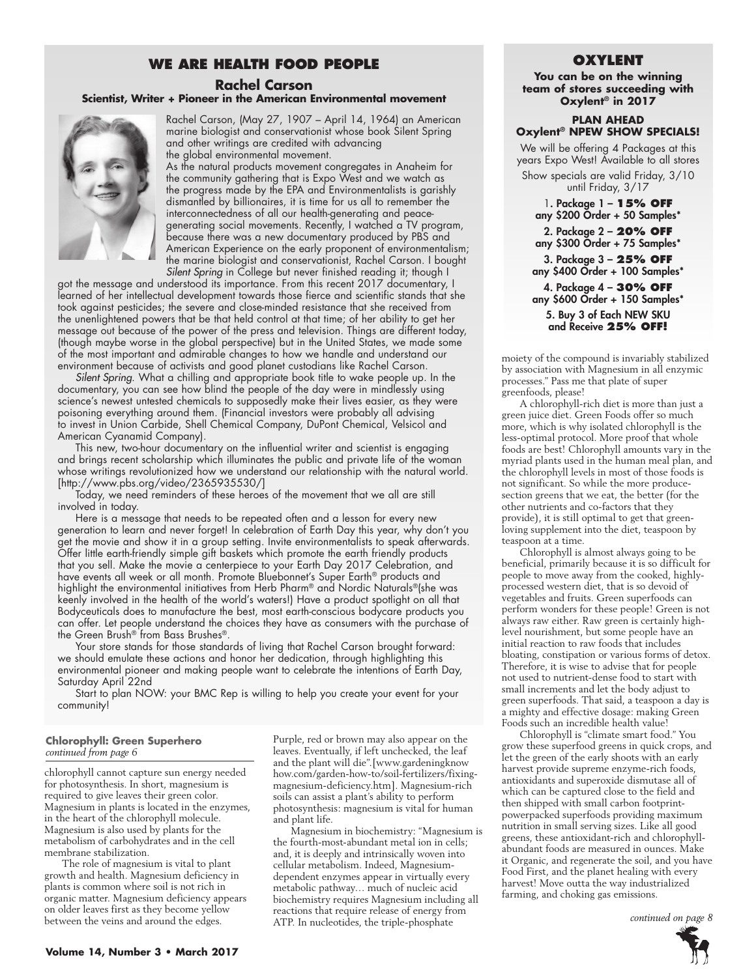## **WE ARE HEALTH FOOD PEOPLE**

### **Rachel Carson Scientist, Writer + Pioneer in the American Environmental movement**



Rachel Carson, (May 27, 1907 – April 14, 1964) an American marine biologist and conservationist whose book Silent Spring and other writings are credited with advancing the global environmental movement.

As the natural products movement congregates in Anaheim for the community gathering that is Expo West and we watch as the progress made by the EPA and Environmentalists is garishly dismantled by billionaires, it is time for us all to remember the interconnectedness of all our health-generating and peacegenerating social movements. Recently, I watched a TV program, because there was a new documentary produced by PBS and American Experience on the early proponent of environmentalism; the marine biologist and conservationist, Rachel Carson. I bought *Silent Spring* in College but never finished reading it; though I

got the message and understood its importance. From this recent 2017 documentary, I learned of her intellectual development towards those fierce and scientific stands that she took against pesticides; the severe and close-minded resistance that she received from the unenlightened powers that be that held control at that time; of her ability to get her message out because of the power of the press and television. Things are different today, (though maybe worse in the global perspective) but in the United States, we made some of the most important and admirable changes to how we handle and understand our environment because of activists and good planet custodians like Rachel Carson.

*Silent Spring*. What a chilling and appropriate book title to wake people up. In the documentary, you can see how blind the people of the day were in mindlessly using science's newest untested chemicals to supposedly make their lives easier, as they were poisoning everything around them. (Financial investors were probably all advising to invest in Union Carbide, Shell Chemical Company, DuPont Chemical, Velsicol and American Cyanamid Company).

This new, two-hour documentary on the influential writer and scientist is engaging and brings recent scholarship which illuminates the public and private life of the woman whose writings revolutionized how we understand our relationship with the natural world. [http://www.pbs.org/video/2365935530/]

Today, we need reminders of these heroes of the movement that we all are still involved in today.

Here is a message that needs to be repeated often and a lesson for every new generation to learn and never forget! In celebration of Earth Day this year, why don't you get the movie and show it in a group setting. Invite environmentalists to speak afterwards. Offer little earth-friendly simple gift baskets which promote the earth friendly products that you sell. Make the movie a centerpiece to your Earth Day 2017 Celebration, and have events all week or all month. Promote Bluebonnet's Super Earth® products and highlight the environmental initiatives from Herb Pharm® and Nordic Naturals®(she was keenly involved in the health of the world's waters!) Have a product spotlight on all that Bodyceuticals does to manufacture the best, most earth-conscious bodycare products you can offer. Let people understand the choices they have as consumers with the purchase of the Green Brush® from Bass Brushes®.

Your store stands for those standards of living that Rachel Carson brought forward: we should emulate these actions and honor her dedication, through highlighting this environmental pioneer and making people want to celebrate the intentions of Earth Day, Saturday April 22nd

Start to plan NOW: your BMC Rep is willing to help you create your event for your community!

#### **Chlorophyll: Green Superhero** *continued from page 6*

chlorophyll cannot capture sun energy needed for photosynthesis. In short, magnesium is required to give leaves their green color. Magnesium in plants is located in the enzymes, in the heart of the chlorophyll molecule. Magnesium is also used by plants for the metabolism of carbohydrates and in the cell membrane stabilization.

The role of magnesium is vital to plant growth and health. Magnesium deficiency in plants is common where soil is not rich in organic matter. Magnesium deficiency appears on older leaves first as they become yellow between the veins and around the edges.

Purple, red or brown may also appear on the leaves. Eventually, if left unchecked, the leaf and the plant will die".[www.gardeningknow how.com/garden-how-to/soil-fertilizers/fixingmagnesium-deficiency.htm]. Magnesium-rich soils can assist a plant's ability to perform photosynthesis: magnesium is vital for human and plant life.

Magnesium in biochemistry: "Magnesium is the fourth-most-abundant metal ion in cells; and, it is deeply and intrinsically woven into cellular metabolism. Indeed, Magnesiumdependent enzymes appear in virtually every metabolic pathway… much of nucleic acid biochemistry requires Magnesium including all reactions that require release of energy from ATP. In nucleotides, the triple-phosphate

### **Oxylent**

**You can be on the winning team of stores succeeding with Oxylent® in 2017**

#### **Plan ahead Oxylent® NPEW SHOW SPECIALS!**

We will be offering 4 Packages at this years Expo West! Available to all stores Show specials are valid Friday, 3/10 until Friday, 3/17 1. Package 1 – **15% OFF**

any \$200 Order + 50 Samples\* 2. Package 2 – **20% OFF** any \$300 Order + 75 Samples\* 3. Package 3 – **25% OFF** any \$400 Order + 100 Samples\* 4. Package 4 – **30% OFF** any \$600 Order + 150 Samples\*

5. Buy 3 of Each NEW SKU and Receive **25% OFF!** 

moiety of the compound is invariably stabilized by association with Magnesium in all enzymic processes." Pass me that plate of super greenfoods, please!

A chlorophyll-rich diet is more than just a green juice diet. Green Foods offer so much more, which is why isolated chlorophyll is the less-optimal protocol. More proof that whole foods are best! Chlorophyll amounts vary in the myriad plants used in the human meal plan, and the chlorophyll levels in most of those foods is not significant. So while the more producesection greens that we eat, the better (for the other nutrients and co-factors that they provide), it is still optimal to get that greenloving supplement into the diet, teaspoon by teaspoon at a time.

Chlorophyll is almost always going to be beneficial, primarily because it is so difficult for people to move away from the cooked, highlyprocessed western diet, that is so devoid of vegetables and fruits. Green superfoods can perform wonders for these people! Green is not always raw either. Raw green is certainly highlevel nourishment, but some people have an initial reaction to raw foods that includes bloating, constipation or various forms of detox. Therefore, it is wise to advise that for people not used to nutrient-dense food to start with small increments and let the body adjust to green superfoods. That said, a teaspoon a day is a mighty and effective dosage: making Green Foods such an incredible health value!

Chlorophyll is "climate smart food." You grow these superfood greens in quick crops, and let the green of the early shoots with an early harvest provide supreme enzyme-rich foods, antioxidants and superoxide dismutase all of which can be captured close to the field and then shipped with small carbon footprintpowerpacked superfoods providing maximum nutrition in small serving sizes. Like all good greens, these antioxidant-rich and chlorophyllabundant foods are measured in ounces. Make it Organic, and regenerate the soil, and you have Food First, and the planet healing with every harvest! Move outta the way industrialized farming, and choking gas emissions.

*continued on page 8*